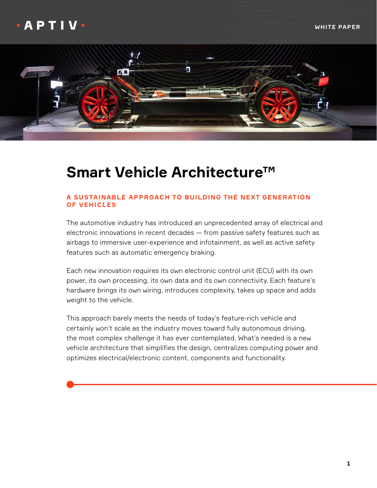

# **Smart Vehicle Architecture™**

### **A SUSTAINABLE APPROACH TO BUILDING THE NEXT GENERATION OF VEHICLES**

The automotive industry has introduced an unprecedented array of electrical and electronic innovations in recent decades — from passive safety features such as airbags to immersive user-experience and infotainment, as well as active safety features such as automatic emergency braking.

Each new innovation requires its own electronic control unit (ECU) with its own power, its own processing, its own data and its own connectivity. Each feature's hardware brings its own wiring, introduces complexity, takes up space and adds weight to the vehicle.

This approach barely meets the needs of today's feature-rich vehicle and certainly won't scale as the industry moves toward fully autonomous driving, the most complex challenge it has ever contemplated. What's needed is a new vehicle architecture that simplifies the design, centralizes computing power and optimizes electrical/electronic content, components and functionality.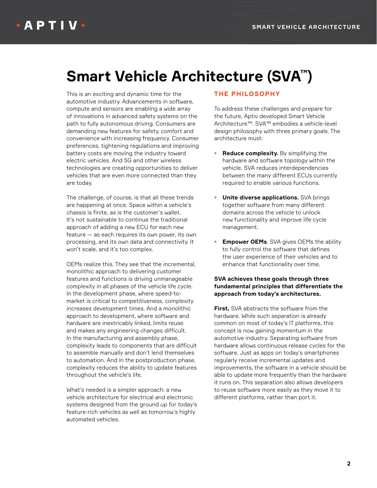# **Smart Vehicle Architecture (SVA™)**

This is an exciting and dynamic time for the automotive industry. Advancements in software, compute and sensors are enabling a wide array of innovations in advanced safety systems on the path to fully autonomous driving. Consumers are demanding new features for safety, comfort and convenience with increasing frequency. Consumer preferences, tightening regulations and improving battery costs are moving the industry toward electric vehicles. And 5G and other wireless technologies are creating opportunities to deliver vehicles that are even more connected than they are today.

The challenge, of course, is that all these trends are happening at once. Space within a vehicle's chassis is finite, as is the customer's wallet. It's not sustainable to continue the traditional approach of adding a new ECU for each new feature — as each requires its own power, its own processing, and its own data and connectivity. It won't scale, and it's too complex.

OEMs realize this. They see that the incremental, monolithic approach to delivering customer features and functions is driving unmanageable complexity in all phases of the vehicle life cycle. In the development phase, where speed-tomarket is critical to competitiveness, complexity increases development times. And a monolithic approach to development, where software and hardware are inextricably linked, limits reuse and makes any engineering changes difficult. In the manufacturing and assembly phase, complexity leads to components that are difficult to assemble manually and don't lend themselves to automation. And in the postproduction phase, complexity reduces the ability to update features throughout the vehicle's life.

What's needed is a simpler approach: a new vehicle architecture for electrical and electronic systems designed from the ground up for today's feature-rich vehicles as well as tomorrow's highly automated vehicles.

#### **THE PHILOSOPHY**

To address these challenges and prepare for the future, Aptiv developed Smart Vehicle Architecture™. SVA™ embodies a vehicle-level design philosophy with three primary goals. The architecture must:

- **Reduce complexity.** By simplifying the hardware and software topology within the vehicle, SVA reduces interdependencies between the many different ECUs currently required to enable various functions.
- **Unite diverse applications.** SVA brings together software from many different domains across the vehicle to unlock new functionality and improve life cycle management.
- **Empower OEMs**. SVA gives OEMs the ability to fully control the software that defines the user experience of their vehicles and to enhance that functionality over time.

#### **SVA achieves these goals through three fundamental principles that differentiate the approach from today's architectures.**

**First,** SVA abstracts the software from the hardware. While such separation is already common on most of today's IT platforms, this concept is now gaining momentum in the automotive industry. Separating software from hardware allows continuous release cycles for the software. Just as apps on today's smartphones regularly receive incremental updates and improvements, the software in a vehicle should be able to update more frequently than the hardware it runs on. This separation also allows developers to reuse software more easily as they move it to different platforms, rather than port it.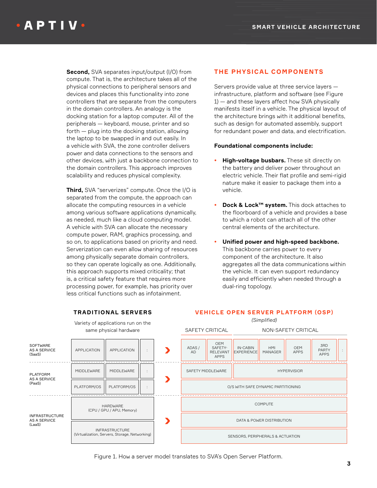**Second,** SVA separates input/output (I/O) from compute. That is, the architecture takes all of the physical connections to peripheral sensors and devices and places this functionality into zone controllers that are separate from the computers in the domain controllers. An analogy is the docking station for a laptop computer. All of the peripherals — keyboard, mouse, printer and so forth — plug into the docking station, allowing the laptop to be swapped in and out easily. In a vehicle with SVA, the zone controller delivers power and data connections to the sensors and other devices, with just a backbone connection to the domain controllers. This approach improves scalability and reduces physical complexity.

**Third,** SVA "serverizes" compute. Once the I/O is separated from the compute, the approach can allocate the computing resources in a vehicle among various software applications dynamically, as needed, much like a cloud computing model. A vehicle with SVA can allocate the necessary compute power, RAM, graphics processing, and so on, to applications based on priority and need. Serverization can even allow sharing of resources among physically separate domain controllers, so they can operate logically as one. Additionally, this approach supports mixed criticality; that is, a critical safety feature that requires more processing power, for example, has priority over less critical functions such as infotainment.

### **THE PHYSICAL COMPONENTS**

Servers provide value at three service layers infrastructure, platform and software (see Figure 1) — and these layers affect how SVA physically manifests itself in a vehicle. The physical layout of the architecture brings with it additional benefits, such as design for automated assembly, support for redundant power and data, and electrification.

#### **Foundational components include:**

- **High-voltage busbars.** These sit directly on the battery and deliver power throughout an electric vehicle. Their flat profile and semi-rigid nature make it easier to package them into a vehicle.
- **Dock & Lock™ system.** This dock attaches to the floorboard of a vehicle and provides a base to which a robot can attach all of the other central elements of the architecture.
- **Unified power and high-speed backbone.** This backbone carries power to every component of the architecture. It also aggregates all the data communications within the vehicle. It can even support redundancy easily and efficiently when needed through a dual-ring topology.

**VEHICLE OPEN SERVER PLATFORM (OSP)** *(Simplified)*



### **TRADITIONAL SERVERS**

Variety of applications run on the

Figure 1. How a server model translates to SVA's Open Server Platform.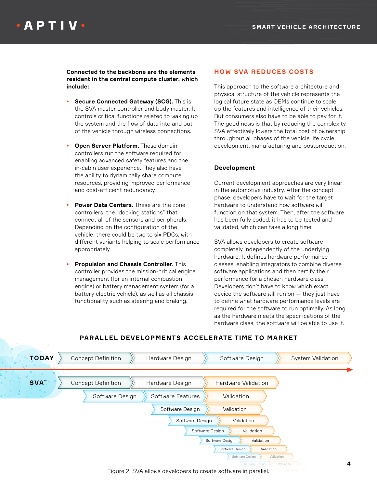**Connected to the backbone are the elements resident in the central compute cluster, which include:**

- **Secure Connected Gateway (SCG).** This is the SVA master controller and body master. It controls critical functions related to waking up the system and the flow of data into and out of the vehicle through wireless connections.
- **Open Server Platform.** These domain controllers run the software required for enabling advanced safety features and the in-cabin user experience. They also have the ability to dynamically share compute resources, providing improved performance and cost-efficient redundancy.
- **Power Data Centers.** These are the zone controllers, the "docking stations" that connect all of the sensors and peripherals. Depending on the configuration of the vehicle, there could be two to six PDCs, with different variants helping to scale performance appropriately.
- **Propulsion and Chassis Controller.** This controller provides the mission-critical engine management (for an internal combustion engine) or battery management system (for a battery electric vehicle), as well as all chassis functionality such as steering and braking.

### **HOW SVA REDUCES COSTS**

This approach to the software architecture and physical structure of the vehicle represents the logical future state as OEMs continue to scale up the features and intelligence of their vehicles. But consumers also have to be able to pay for it. The good news is that by reducing the complexity, SVA effectively lowers the total cost of ownership throughout all phases of the vehicle life cycle: development, manufacturing and postproduction.

### **Development**

Current development approaches are very linear in the automotive industry. After the concept phase, developers have to wait for the target hardware to understand how software will function on that system. Then, after the software has been fully coded, it has to be tested and validated, which can take a long time.

SVA allows developers to create software completely independently of the underlying hardware. It defines hardware performance classes, enabling integrators to combine diverse software applications and then certify their performance for a chosen hardware class. Developers don't have to know which exact device the software will run on — they just have to define what hardware performance levels are required for the software to run optimally. As long as the hardware meets the specifications of the hardware class, the software will be able to use it.



### **PARALLEL DEVELOPMENTS ACCELERATE TIME TO MARKET**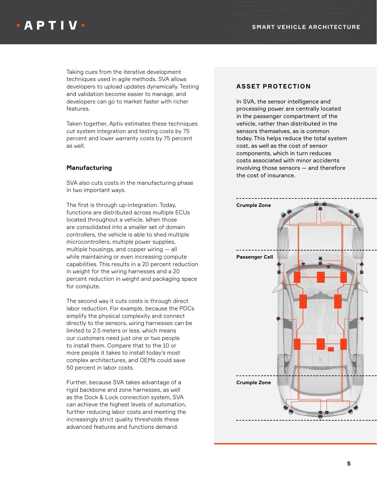Taking cues from the iterative development techniques used in agile methods, SVA allows developers to upload updates dynamically. Testing and validation become easier to manage, and developers can go to market faster with richer features.

Taken together, Aptiv estimates these techniques cut system integration and testing costs by 75 percent and lower warranty costs by 75 percent as well.

#### **Manufacturing**

SVA also cuts costs in the manufacturing phase in two important ways.

The first is through up-integration. Today, functions are distributed across multiple ECUs located throughout a vehicle. When those are consolidated into a smaller set of domain controllers, the vehicle is able to shed multiple microcontrollers, multiple power supplies, multiple housings, and copper wiring — all while maintaining or even increasing compute capabilities. This results in a 20 percent reduction in weight for the wiring harnesses and a 20 percent reduction in weight and packaging space for compute.

The second way it cuts costs is through direct labor reduction. For example, because the PDCs simplify the physical complexity and connect directly to the sensors, wiring harnesses can be limited to 2.5 meters or less, which means our customers need just one or two people to install them. Compare that to the 10 or more people it takes to install today's most complex architectures, and OEMs could save 50 percent in labor costs.

Further, because SVA takes advantage of a rigid backbone and zone harnesses, as well as the Dock & Lock connection system, SVA can achieve the highest levels of automation, further reducing labor costs and meeting the increasingly strict quality thresholds these advanced features and functions demand.

#### **ASSET PROTECTION**

In SVA, the sensor intelligence and processing power are centrally located in the passenger compartment of the vehicle, rather than distributed in the sensors themselves, as is common today. This helps reduce the total system cost, as well as the cost of sensor components, which in turn reduces costs associated with minor accidents involving those sensors — and therefore the cost of insurance.

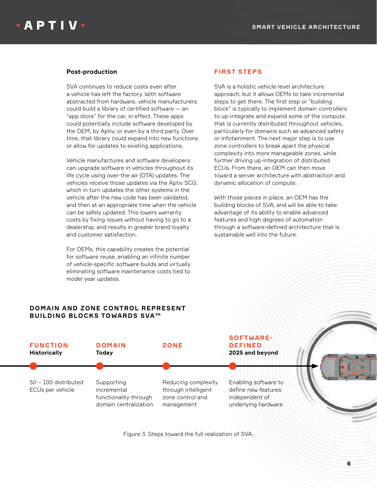#### **Post-production**

SVA continues to reduce costs even after a vehicle has left the factory. With software abstracted from hardware, vehicle manufacturers could build a library of certified software — an "app store" for the car, in effect. These apps could potentially include software developed by the OEM, by Aptiv, or even by a third party. Over time, that library could expand into new functions or allow for updates to existing applications.

Vehicle manufactures and software developers can upgrade software in vehicles throughout its life cycle using over-the-air (OTA) updates. The vehicles receive those updates via the Aptiv SCG, which in turn updates the other systems in the vehicle after the new code has been validated, and then at an appropriate time when the vehicle can be safely updated. This lowers warranty costs by fixing issues without having to go to a dealership, and results in greater brand loyalty and customer satisfaction.

For OEMs, this capability creates the potential for software reuse, enabling an infinite number of vehicle-specific software builds and virtually eliminating software maintenance costs tied to model year updates.

#### **DOMAIN AND ZONE CONTROL REPRESENT BUILDING BLOCKS TOWARDS SVA™**

#### **FIRST STEPS**

SVA is a holistic vehicle-level architecture approach, but it allows OEMs to take incremental steps to get there. The first step or "building block" is typically to implement domain controllers to up-integrate and expand some of the compute that is currently distributed throughout vehicles, particularly for domains such as advanced safety or infotainment. The next major step is to use zone controllers to break apart the physical complexity into more manageable zones, while further driving up-integration of distributed ECUs. From there, an OEM can then move toward a server architecture with abstraction and dynamic allocation of compute.

With those pieces in place, an OEM has the building blocks of SVA, and will be able to take advantage of its ability to enable advanced features and high degrees of automation through a software-defined architecture that is sustainable well into the future.



Figure 3. Steps toward the full realization of SVA.